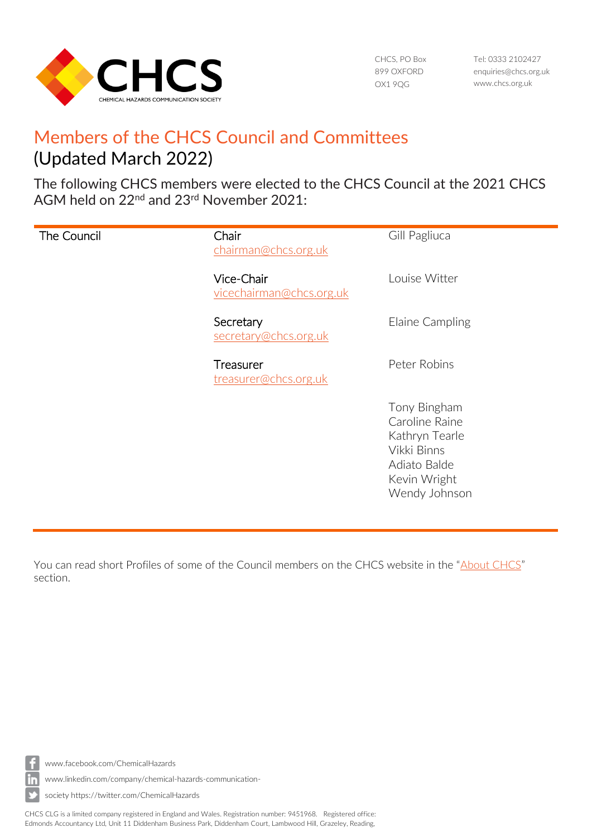

CHCS, PO Box 899 OXFORD OX1 9QG

Tel: 0333 2102427 [enquiries@chcs.org.uk](mailto:enquiries@chcs.org.uk) [www.chcs.org.uk](http://www.chcs.org.uk/)

## Members of the CHCS Council and Committees (Updated March 2022)

The following CHCS members were elected to the CHCS Council at the 2021 CHCS AGM held on 22<sup>nd</sup> and 23<sup>rd</sup> November 2021:

| The Council | Chair<br>chairman@chcs.org.uk          | Gill Pagliuca                                                                                                    |
|-------------|----------------------------------------|------------------------------------------------------------------------------------------------------------------|
|             | Vice-Chair<br>vicechairman@chcs.org.uk | Louise Witter                                                                                                    |
|             | Secretary<br>secretary@chcs.org.uk     | Elaine Campling                                                                                                  |
|             | Treasurer<br>treasurer@chcs.org.uk     | Peter Robins                                                                                                     |
|             |                                        | Tony Bingham<br>Caroline Raine<br>Kathryn Tearle<br>Vikki Binns<br>Adiato Balde<br>Kevin Wright<br>Wendy Johnson |

You can read short Profiles of some of the Council members on the CHCS website in the "[About CHCS](https://chcs.org.uk/about-chemical-hazards-communication-society/)" section.



[www.facebook.com/ChemicalHazards](http://www.facebook.com/ChemicalHazards)

[www.linkedin.com/company/chemical-hazards-communication-](http://www.linkedin.com/company/chemical-hazards-communication-society)

[society](http://www.linkedin.com/company/chemical-hazards-communication-society) https://twitter.com/ChemicalHazards

CHCS CLG is a limited company registered in England and Wales. Registration number: 9451968. Registered office: Edmonds Accountancy Ltd, Unit 11 Diddenham Business Park, Diddenham Court, Lambwood Hill, Grazeley, Reading,